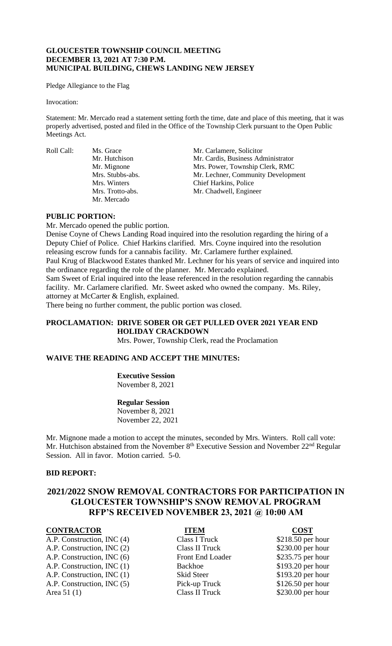## **GLOUCESTER TOWNSHIP COUNCIL MEETING DECEMBER 13, 2021 AT 7:30 P.M. MUNICIPAL BUILDING, CHEWS LANDING NEW JERSEY**

Pledge Allegiance to the Flag

#### Invocation:

Statement: Mr. Mercado read a statement setting forth the time, date and place of this meeting, that it was properly advertised, posted and filed in the Office of the Township Clerk pursuant to the Open Public Meetings Act.

Roll Call: Ms. Grace Mr. Carlamere, Solicitor Mr. Mercado

Mr. Hutchison Mr. Cardis, Business Administrator Mr. Mignone Mrs. Power, Township Clerk, RMC Mrs. Stubbs-abs. Mr. Lechner, Community Development Mrs. Winters Chief Harkins, Police Mrs. Trotto-abs. Mr. Chadwell, Engineer

## **PUBLIC PORTION:**

Mr. Mercado opened the public portion.

Denise Coyne of Chews Landing Road inquired into the resolution regarding the hiring of a Deputy Chief of Police. Chief Harkins clarified. Mrs. Coyne inquired into the resolution releasing escrow funds for a cannabis facility. Mr. Carlamere further explained. Paul Krug of Blackwood Estates thanked Mr. Lechner for his years of service and inquired into the ordinance regarding the role of the planner. Mr. Mercado explained. Sam Sweet of Erial inquired into the lease referenced in the resolution regarding the cannabis facility. Mr. Carlamere clarified. Mr. Sweet asked who owned the company. Ms. Riley, attorney at McCarter & English, explained.

There being no further comment, the public portion was closed.

# **PROCLAMATION: DRIVE SOBER OR GET PULLED OVER 2021 YEAR END HOLIDAY CRACKDOWN**

Mrs. Power, Township Clerk, read the Proclamation

## **WAIVE THE READING AND ACCEPT THE MINUTES:**

**Executive Session** November 8, 2021

**Regular Session** November 8, 2021 November 22, 2021

Mr. Mignone made a motion to accept the minutes, seconded by Mrs. Winters. Roll call vote: Mr. Hutchison abstained from the November  $8<sup>th</sup>$  Executive Session and November  $22<sup>nd</sup>$  Regular Session. All in favor. Motion carried. 5-0.

#### **BID REPORT:**

# **2021/2022 SNOW REMOVAL CONTRACTORS FOR PARTICIPATION IN GLOUCESTER TOWNSHIP'S SNOW REMOVAL PROGRAM RFP'S RECEIVED NOVEMBER 23, 2021 @ 10:00 AM**

## **CONTRACTOR ITEM COST**

A.P. Construction, INC (4) Class I Truck \$218.50 per hour A.P. Construction, INC (2) Class II Truck \$230.00 per hour A.P. Construction, INC (6) Front End Loader \$235.75 per hour A.P. Construction, INC (1) Backhoe \$193.20 per hour A.P. Construction, INC (1) Skid Steer \$193.20 per hour A.P. Construction, INC (5) Pick-up Truck \$126.50 per hour Area 51 (1) Class II Truck \$230.00 per hour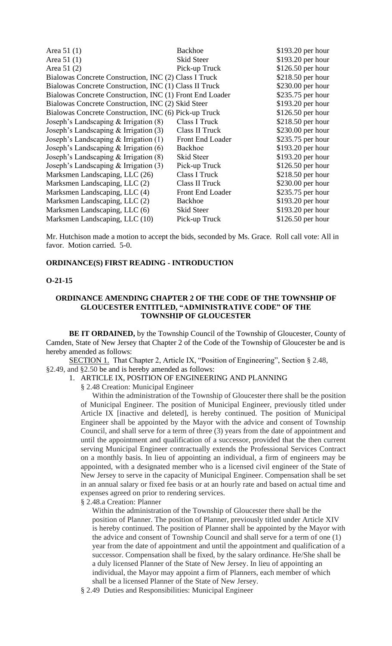| Area $51(1)$                                             | <b>Backhoe</b>          | \$193.20 per hour  |
|----------------------------------------------------------|-------------------------|--------------------|
| Area $51(1)$                                             | <b>Skid Steer</b>       | \$193.20 per hour  |
| Area 51 (2)                                              | Pick-up Truck           | $$126.50$ per hour |
| Bialowas Concrete Construction, INC (2) Class I Truck    |                         | \$218.50 per hour  |
| Bialowas Concrete Construction, INC (1) Class II Truck   |                         | \$230.00 per hour  |
| Bialowas Concrete Construction, INC (1) Front End Loader |                         | \$235.75 per hour  |
| Bialowas Concrete Construction, INC (2) Skid Steer       |                         | \$193.20 per hour  |
| Bialowas Concrete Construction, INC (6) Pick-up Truck    |                         | $$126.50$ per hour |
| Joseph's Landscaping & Irrigation (8)                    | Class I Truck           | \$218.50 per hour  |
| Joseph's Landscaping $&$ Irrigation (3)                  | Class II Truck          | \$230.00 per hour  |
| Joseph's Landscaping & Irrigation (1)                    | Front End Loader        | \$235.75 per hour  |
| Joseph's Landscaping $&$ Irrigation (6)                  | Backhoe                 | \$193.20 per hour  |
| Joseph's Landscaping $&$ Irrigation (8)                  | Skid Steer              | \$193.20 per hour  |
| Joseph's Landscaping $&$ Irrigation (3)                  | Pick-up Truck           | \$126.50 per hour  |
| Marksmen Landscaping, LLC (26)                           | Class I Truck           | $$218.50$ per hour |
| Marksmen Landscaping, LLC (2)                            | Class II Truck          | \$230.00 per hour  |
| Marksmen Landscaping, LLC (4)                            | <b>Front End Loader</b> | \$235.75 per hour  |
| Marksmen Landscaping, LLC (2)                            | <b>Backhoe</b>          | \$193.20 per hour  |
| Marksmen Landscaping, LLC (6)                            | Skid Steer              | \$193.20 per hour  |
| Marksmen Landscaping, LLC (10)                           | Pick-up Truck           | $$126.50$ per hour |

Mr. Hutchison made a motion to accept the bids, seconded by Ms. Grace. Roll call vote: All in favor. Motion carried. 5-0.

## **ORDINANCE(S) FIRST READING - INTRODUCTION**

## **O-21-15**

### **ORDINANCE AMENDING CHAPTER 2 OF THE CODE OF THE TOWNSHIP OF GLOUCESTER ENTITLED, "ADMINISTRATIVE CODE" OF THE TOWNSHIP OF GLOUCESTER**

**BE IT ORDAINED,** by the Township Council of the Township of Gloucester, County of Camden, State of New Jersey that Chapter 2 of the Code of the Township of Gloucester be and is hereby amended as follows:

SECTION 1. That Chapter 2, Article IX, "Position of Engineering", Section § 2.48, §2.49, and §2.50 be and is hereby amended as follows:

1. ARTICLE IX, POSITION OF ENGINEERING AND PLANNING

§ 2.48 Creation: Municipal Engineer

Within the administration of the Township of Gloucester there shall be the position of Municipal Engineer. The position of Municipal Engineer, previously titled under Article IX [inactive and deleted], is hereby continued. The position of Municipal Engineer shall be appointed by the Mayor with the advice and consent of Township Council, and shall serve for a term of three (3) years from the date of appointment and until the appointment and qualification of a successor, provided that the then current serving Municipal Engineer contractually extends the Professional Services Contract on a monthly basis. In lieu of appointing an individual, a firm of engineers may be appointed, with a designated member who is a licensed civil engineer of the State of New Jersey to serve in the capacity of Municipal Engineer. Compensation shall be set in an annual salary or fixed fee basis or at an hourly rate and based on actual time and expenses agreed on prior to rendering services.

§ 2.48.a Creation: Planner

Within the administration of the Township of Gloucester there shall be the position of Planner. The position of Planner, previously titled under Article XIV is hereby continued. The position of Planner shall be appointed by the Mayor with the advice and consent of Township Council and shall serve for a term of one (1) year from the date of appointment and until the appointment and qualification of a successor. Compensation shall be fixed, by the salary ordinance. He/She shall be a duly licensed Planner of the State of New Jersey. In lieu of appointing an individual, the Mayor may appoint a firm of Planners, each member of which shall be a licensed Planner of the State of New Jersey.

§ 2.49 Duties and Responsibilities: Municipal Engineer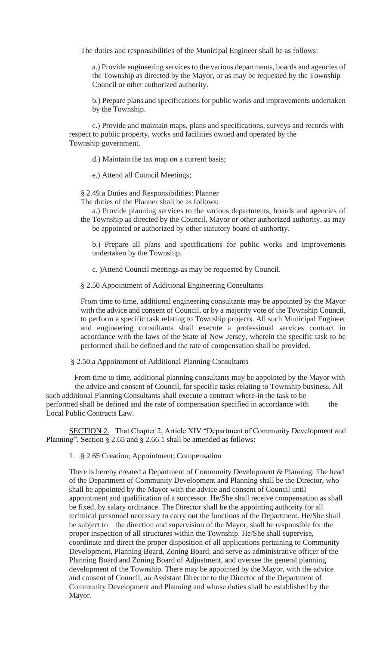The duties and responsibilities of the Municipal Engineer shall be as follows:

a.) Provide engineering services to the various departments, boards and agencies of the Township as directed by the Mayor, or as may be requested by the Township Council or other authorized authority.

b.) Prepare plans and specifications for public works and improvements undertaken by the Township.

c.) Provide and maintain maps, plans and specifications, surveys and records with respect to public property, works and facilities owned and operated by the Township government.

d.) Maintain the tax map on a current basis;

e.) Attend all Council Meetings;

§ 2.49.a Duties and Responsibilities: Planner

The duties of the Planner shall be as follows:

a.) Provide planning services to the various departments, boards and agencies of the Township as directed by the Council, Mayor or other authorized authority, as may be appointed or authorized by other statutory board of authority.

b.) Prepare all plans and specifications for public works and improvements undertaken by the Township.

c. )Attend Council meetings as may be requested by Council.

§ 2.50 Appointment of Additional Engineering Consultants

From time to time, additional engineering consultants may be appointed by the Mayor with the advice and consent of Council, or by a majority vote of the Township Council, to perform a specific task relating to Township projects. All such Municipal Engineer and engineering consultants shall execute a professional services contract in accordance with the laws of the State of New Jersey, wherein the specific task to be performed shall be defined and the rate of compensation shall be provided.

§ 2.50.a Appointment of Additional Planning Consultants

 From time to time, additional planning consultants may be appointed by the Mayor with the advice and consent of Council, for specific tasks relating to Township business. All such additional Planning Consultants shall execute a contract where-in the task to be performed shall be defined and the rate of compensation specified in accordance with the Local Public Contracts Law.

SECTION 2. That Chapter 2, Article XIV "Department of Community Development and Planning", Section § 2.65 and § 2.66.1 shall be amended as follows:

1. § 2.65 Creation; Appointment; Compensation

There is hereby created a Department of Community Development & Planning. The head of the Department of Community Development and Planning shall be the Director, who shall be appointed by the Mayor with the advice and consent of Council until appointment and qualification of a successor. He/She shall receive compensation as shall be fixed, by salary ordinance. The Director shall be the appointing authority for all technical personnel necessary to carry out the functions of the Department. He/She shall be subject to the direction and supervision of the Mayor, shall be responsible for the proper inspection of all structures within the Township. He/She shall supervise, coordinate and direct the proper disposition of all applications pertaining to Community Development, Planning Board, Zoning Board, and serve as administrative officer of the Planning Board and Zoning Board of Adjustment, and oversee the general planning development of the Township. There may be appointed by the Mayor, with the advice and consent of Council, an Assistant Director to the Director of the Department of Community Development and Planning and whose duties shall be established by the Mayor.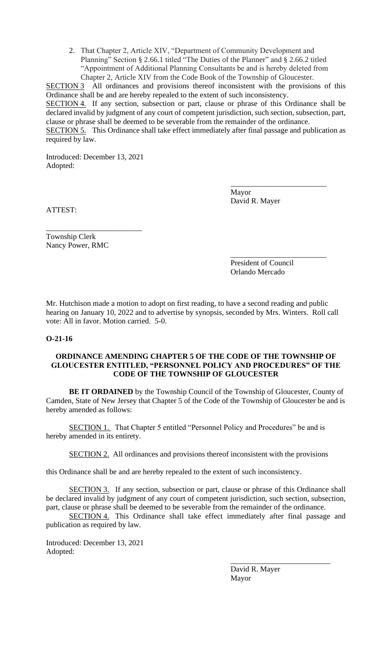2. That Chapter 2, Article XIV, "Department of Community Development and Planning" Section § 2.66.1 titled "The Duties of the Planner" and § 2.66.2 titled "Appointment of Additional Planning Consultants be and is hereby deleted from Chapter 2, Article XIV from the Code Book of the Township of Gloucester.

SECTION 3 All ordinances and provisions thereof inconsistent with the provisions of this Ordinance shall be and are hereby repealed to the extent of such inconsistency. SECTION 4. If any section, subsection or part, clause or phrase of this Ordinance shall be declared invalid by judgment of any court of competent jurisdiction, such section, subsection, part, clause or phrase shall be deemed to be severable from the remainder of the ordinance. SECTION 5. This Ordinance shall take effect immediately after final passage and publication as required by law.

Introduced: December 13, 2021 Adopted:

> Mayor David R. Mayer

\_\_\_\_\_\_\_\_\_\_\_\_\_\_\_\_\_\_\_\_\_\_\_\_\_

\_\_\_\_\_\_\_\_\_\_\_\_\_\_\_\_\_\_\_\_\_\_\_\_\_

ATTEST:

\_\_\_\_\_\_\_\_\_\_\_\_\_\_\_\_\_\_\_\_\_\_\_\_\_ Township Clerk Nancy Power, RMC

> President of Council Orlando Mercado

Mr. Hutchison made a motion to adopt on first reading, to have a second reading and public hearing on January 10, 2022 and to advertise by synopsis, seconded by Mrs. Winters. Roll call vote: All in favor. Motion carried. 5-0.

## **O-21-16**

## **ORDINANCE AMENDING CHAPTER 5 OF THE CODE OF THE TOWNSHIP OF GLOUCESTER ENTITLED, "PERSONNEL POLICY AND PROCEDURES" OF THE CODE OF THE TOWNSHIP OF GLOUCESTER**

**BE IT ORDAINED** by the Township Council of the Township of Gloucester, County of Camden, State of New Jersey that Chapter 5 of the Code of the Township of Gloucester be and is hereby amended as follows:

SECTION 1. That Chapter 5 entitled "Personnel Policy and Procedures" be and is hereby amended in its entirety.

SECTION 2. All ordinances and provisions thereof inconsistent with the provisions

this Ordinance shall be and are hereby repealed to the extent of such inconsistency.

SECTION 3. If any section, subsection or part, clause or phrase of this Ordinance shall be declared invalid by judgment of any court of competent jurisdiction, such section, subsection, part, clause or phrase shall be deemed to be severable from the remainder of the ordinance.

SECTION 4. This Ordinance shall take effect immediately after final passage and publication as required by law.

Introduced: December 13, 2021 Adopted:

> David R. Mayer Mayor

\_\_\_\_\_\_\_\_\_\_\_\_\_\_\_\_\_\_\_\_\_\_\_\_\_\_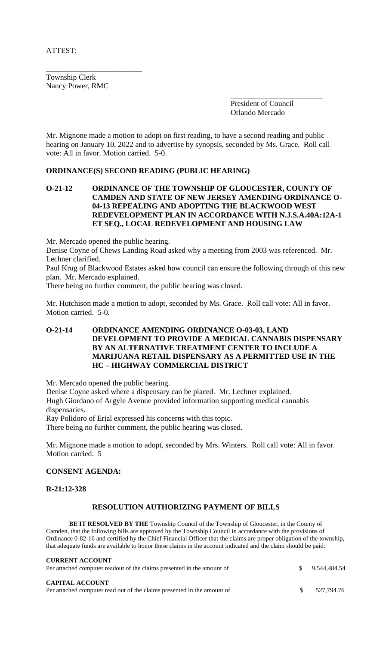ATTEST:

Township Clerk Nancy Power, RMC

\_\_\_\_\_\_\_\_\_\_\_\_\_\_\_\_\_\_\_\_\_\_\_\_\_

\_\_\_\_\_\_\_\_\_\_\_\_\_\_\_\_\_\_\_\_\_\_\_\_ President of Council Orlando Mercado

Mr. Mignone made a motion to adopt on first reading, to have a second reading and public hearing on January 10, 2022 and to advertise by synopsis, seconded by Ms. Grace. Roll call vote: All in favor. Motion carried. 5-0.

### **ORDINANCE(S) SECOND READING (PUBLIC HEARING)**

## **O-21-12 ORDINANCE OF THE TOWNSHIP OF GLOUCESTER, COUNTY OF CAMDEN AND STATE OF NEW JERSEY AMENDING ORDINANCE O-04-13 REPEALING AND ADOPTING THE BLACKWOOD WEST REDEVELOPMENT PLAN IN ACCORDANCE WITH N.J.S.A.40A:12A-1 ET SEQ., LOCAL REDEVELOPMENT AND HOUSING LAW**

Mr. Mercado opened the public hearing.

Denise Coyne of Chews Landing Road asked why a meeting from 2003 was referenced. Mr. Lechner clarified.

Paul Krug of Blackwood Estates asked how council can ensure the following through of this new plan. Mr. Mercado explained.

There being no further comment, the public hearing was closed.

Mr. Hutchison made a motion to adopt, seconded by Ms. Grace. Roll call vote: All in favor. Motion carried. 5-0.

## **O-21-14 ORDINANCE AMENDING ORDINANCE O-03-03, LAND DEVELOPMENT TO PROVIDE A MEDICAL CANNABIS DISPENSARY BY AN ALTERNATIVE TREATMENT CENTER TO INCLUDE A MARIJUANA RETAIL DISPENSARY AS A PERMITTED USE IN THE HC – HIGHWAY COMMERCIAL DISTRICT**

Mr. Mercado opened the public hearing.

Denise Coyne asked where a dispensary can be placed. Mr. Lechner explained.

Hugh Giordano of Argyle Avenue provided information supporting medical cannabis dispensaries.

Ray Polidoro of Erial expressed his concerns with this topic.

There being no further comment, the public hearing was closed.

Mr. Mignone made a motion to adopt, seconded by Mrs. Winters. Roll call vote: All in favor. Motion carried. 5

#### **CONSENT AGENDA:**

**R-21:12-328**

## **RESOLUTION AUTHORIZING PAYMENT OF BILLS**

**BE IT RESOLVED BY THE** Township Council of the Township of Gloucester, in the County of Camden, that the following bills are approved by the Township Council in accordance with the provisions of Ordinance 0-82-16 and certified by the Chief Financial Officer that the claims are proper obligation of the township, that adequate funds are available to honor these claims in the account indicated and the claim should be paid:

| <b>CURRENT ACCOUNT</b><br>Per attached computer readout of the claims presented in the amount of  |    | $\frac{1}{2}$ 9.544.484.54 |
|---------------------------------------------------------------------------------------------------|----|----------------------------|
| <b>CAPITAL ACCOUNT</b><br>Per attached computer read out of the claims presented in the amount of | S. | 527.794.76                 |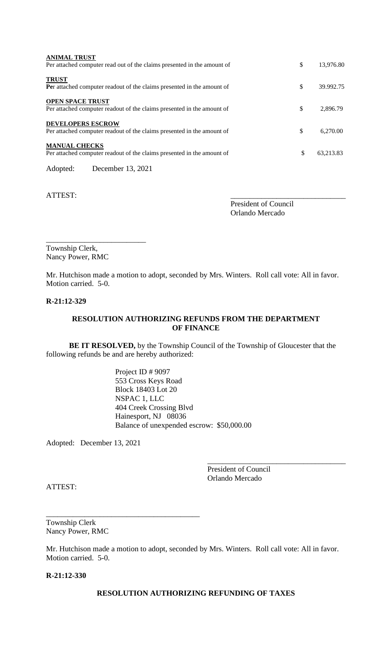| <b>ANIMAL TRUST</b><br>Per attached computer read out of the claims presented in the amount of     | \$<br>13.976.80 |
|----------------------------------------------------------------------------------------------------|-----------------|
| <b>TRUST</b><br>Per attached computer readout of the claims presented in the amount of             | \$<br>39.992.75 |
| <b>OPEN SPACE TRUST</b><br>Per attached computer readout of the claims presented in the amount of  | \$<br>2,896.79  |
| <b>DEVELOPERS ESCROW</b><br>Per attached computer readout of the claims presented in the amount of | \$<br>6.270.00  |
| <b>MANUAL CHECKS</b><br>Per attached computer readout of the claims presented in the amount of     | \$<br>63,213.83 |
| December 13, 2021<br>Adopted:                                                                      |                 |

ATTEST:

President of Council Orlando Mercado

Township Clerk, Nancy Power, RMC

\_\_\_\_\_\_\_\_\_\_\_\_\_\_\_\_\_\_\_\_\_\_\_\_\_\_

Mr. Hutchison made a motion to adopt, seconded by Mrs. Winters. Roll call vote: All in favor. Motion carried. 5-0.

### **R-21:12-329**

## **RESOLUTION AUTHORIZING REFUNDS FROM THE DEPARTMENT OF FINANCE**

**BE IT RESOLVED,** by the Township Council of the Township of Gloucester that the following refunds be and are hereby authorized:

> Project ID # 9097 553 Cross Keys Road Block 18403 Lot 20 NSPAC 1, LLC 404 Creek Crossing Blvd Hainesport, NJ 08036 Balance of unexpended escrow: \$50,000.00

Adopted: December 13, 2021

\_\_\_\_\_\_\_\_\_\_\_\_\_\_\_\_\_\_\_\_\_\_\_\_\_\_\_\_\_\_\_\_\_\_\_\_\_\_\_\_

President of Council Orlando Mercado

\_\_\_\_\_\_\_\_\_\_\_\_\_\_\_\_\_\_\_\_\_\_\_\_\_\_\_\_\_\_\_\_\_\_\_\_

ATTEST:

Township Clerk Nancy Power, RMC

Mr. Hutchison made a motion to adopt, seconded by Mrs. Winters. Roll call vote: All in favor. Motion carried. 5-0.

**R-21:12-330**

## **RESOLUTION AUTHORIZING REFUNDING OF TAXES**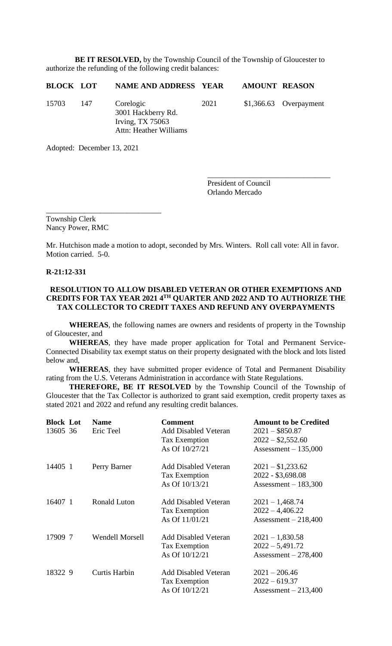**BE IT RESOLVED,** by the Township Council of the Township of Gloucester to authorize the refunding of the following credit balances:

| <b>BLOCK LOT</b> |     | NAME AND ADDRESS YEAR                                                           |      | <b>AMOUNT REASON</b> |                         |
|------------------|-----|---------------------------------------------------------------------------------|------|----------------------|-------------------------|
| 15703            | 147 | Corelogic<br>3001 Hackberry Rd.<br>Irving, $TX$ 75063<br>Attn: Heather Williams | 2021 |                      | $$1,366.63$ Overpayment |

Adopted: December 13, 2021

\_\_\_\_\_\_\_\_\_\_\_\_\_\_\_\_\_\_\_\_\_\_\_\_\_\_\_\_\_\_

President of Council Orlando Mercado

\_\_\_\_\_\_\_\_\_\_\_\_\_\_\_\_\_\_\_\_\_\_\_\_\_\_\_\_\_\_\_\_

Township Clerk Nancy Power, RMC

Mr. Hutchison made a motion to adopt, seconded by Mrs. Winters. Roll call vote: All in favor. Motion carried. 5-0.

#### **R-21:12-331**

## **RESOLUTION TO ALLOW DISABLED VETERAN OR OTHER EXEMPTIONS AND CREDITS FOR TAX YEAR 2021 4TH QUARTER AND 2022 AND TO AUTHORIZE THE TAX COLLECTOR TO CREDIT TAXES AND REFUND ANY OVERPAYMENTS**

**WHEREAS**, the following names are owners and residents of property in the Township of Gloucester, and

**WHEREAS**, they have made proper application for Total and Permanent Service-Connected Disability tax exempt status on their property designated with the block and lots listed below and,

**WHEREAS**, they have submitted proper evidence of Total and Permanent Disability rating from the U.S. Veterans Administration in accordance with State Regulations.

**THEREFORE, BE IT RESOLVED** by the Township Council of the Township of Gloucester that the Tax Collector is authorized to grant said exemption, credit property taxes as stated 2021 and 2022 and refund any resulting credit balances.

| <b>Block Lot</b><br>13605 36 | <b>Name</b><br>Eric Teel | <b>Comment</b><br><b>Add Disabled Veteran</b><br>Tax Exemption<br>As Of 10/27/21 | <b>Amount to be Credited</b><br>$2021 - $850.87$<br>$2022 - $2,552.60$<br>Assessment $-135,000$ |
|------------------------------|--------------------------|----------------------------------------------------------------------------------|-------------------------------------------------------------------------------------------------|
| 14405 1                      | Perry Barner             | <b>Add Disabled Veteran</b><br><b>Tax Exemption</b><br>As Of 10/13/21            | $2021 - $1,233.62$<br>2022 - \$3,698.08<br>Assessment $-183,300$                                |
| 16407 1                      | <b>Ronald Luton</b>      | <b>Add Disabled Veteran</b><br>Tax Exemption<br>As Of 11/01/21                   | $2021 - 1,468.74$<br>$2022 - 4,406.22$<br>Assessment $-218,400$                                 |
| 17909 7                      | <b>Wendell Morsell</b>   | <b>Add Disabled Veteran</b><br>Tax Exemption<br>As Of 10/12/21                   | $2021 - 1,830.58$<br>$2022 - 5,491.72$<br>Assessment $-278,400$                                 |
| 18322 9                      | <b>Curtis Harbin</b>     | <b>Add Disabled Veteran</b><br>Tax Exemption<br>As Of 10/12/21                   | $2021 - 206.46$<br>$2022 - 619.37$<br>Assessment $-213,400$                                     |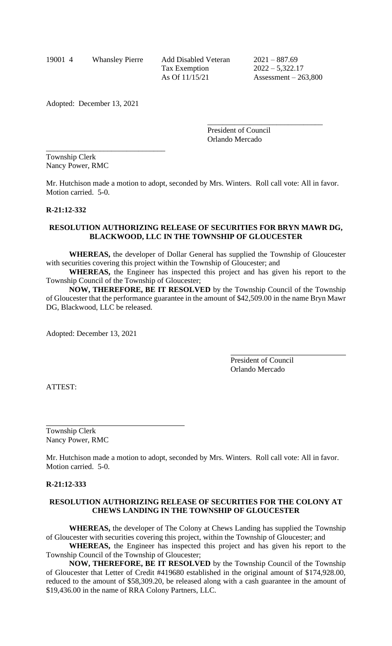19001 4 Whansley Pierre Add Disabled Veteran 2021 – 887.69 Tax Exemption 2022 – 5,322.17

As Of 11/15/21 Assessment – 263,800

Adopted: December 13, 2021

\_\_\_\_\_\_\_\_\_\_\_\_\_\_\_\_\_\_\_\_\_\_\_\_\_\_\_\_\_\_\_

President of Council Orlando Mercado

\_\_\_\_\_\_\_\_\_\_\_\_\_\_\_\_\_\_\_\_\_\_\_\_\_\_\_\_\_\_

Township Clerk Nancy Power, RMC

Mr. Hutchison made a motion to adopt, seconded by Mrs. Winters. Roll call vote: All in favor. Motion carried. 5-0.

## **R-21:12-332**

### **RESOLUTION AUTHORIZING RELEASE OF SECURITIES FOR BRYN MAWR DG, BLACKWOOD, LLC IN THE TOWNSHIP OF GLOUCESTER**

**WHEREAS,** the developer of Dollar General has supplied the Township of Gloucester with securities covering this project within the Township of Gloucester; and

**WHEREAS,** the Engineer has inspected this project and has given his report to the Township Council of the Township of Gloucester;

**NOW, THEREFORE, BE IT RESOLVED** by the Township Council of the Township of Gloucester that the performance guarantee in the amount of \$42,509.00 in the name Bryn Mawr DG, Blackwood, LLC be released.

Adopted: December 13, 2021

President of Council Orlando Mercado

ATTEST:

Township Clerk Nancy Power, RMC

Mr. Hutchison made a motion to adopt, seconded by Mrs. Winters. Roll call vote: All in favor. Motion carried. 5-0.

#### **R-21:12-333**

## **RESOLUTION AUTHORIZING RELEASE OF SECURITIES FOR THE COLONY AT CHEWS LANDING IN THE TOWNSHIP OF GLOUCESTER**

**WHEREAS,** the developer of The Colony at Chews Landing has supplied the Township of Gloucester with securities covering this project, within the Township of Gloucester; and

**WHEREAS,** the Engineer has inspected this project and has given his report to the Township Council of the Township of Gloucester;

**NOW, THEREFORE, BE IT RESOLVED** by the Township Council of the Township of Gloucester that Letter of Credit #419680 established in the original amount of \$174,928.00, reduced to the amount of \$58,309.20, be released along with a cash guarantee in the amount of \$19,436.00 in the name of RRA Colony Partners, LLC.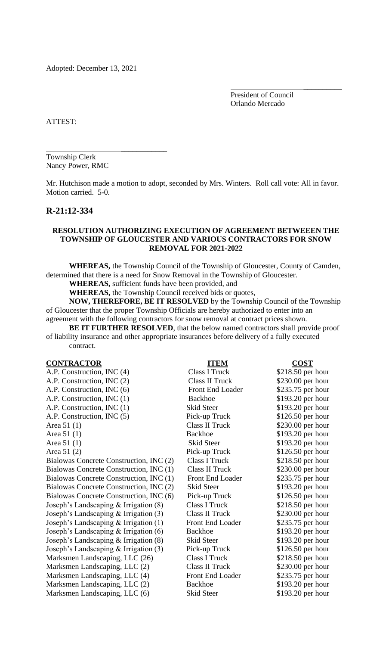Adopted: December 13, 2021

 $\mathcal{L}=\mathcal{L}=\mathcal{L}=\mathcal{L}=\mathcal{L}=\mathcal{L}=\mathcal{L}=\mathcal{L}=\mathcal{L}=\mathcal{L}=\mathcal{L}=\mathcal{L}=\mathcal{L}=\mathcal{L}=\mathcal{L}=\mathcal{L}=\mathcal{L}=\mathcal{L}=\mathcal{L}=\mathcal{L}=\mathcal{L}=\mathcal{L}=\mathcal{L}=\mathcal{L}=\mathcal{L}=\mathcal{L}=\mathcal{L}=\mathcal{L}=\mathcal{L}=\mathcal{L}=\mathcal{L}=\mathcal{L}=\mathcal{L}=\mathcal{L}=\mathcal{L}=\mathcal{L}=\mathcal{$ 

President of Council Orlando Mercado

\_\_\_\_\_\_\_\_\_\_

ATTEST:

Township Clerk Nancy Power, RMC

Mr. Hutchison made a motion to adopt, seconded by Mrs. Winters. Roll call vote: All in favor. Motion carried. 5-0.

## **R-21:12-334**

## **RESOLUTION AUTHORIZING EXECUTION OF AGREEMENT BETWEEEN THE TOWNSHIP OF GLOUCESTER AND VARIOUS CONTRACTORS FOR SNOW REMOVAL FOR 2021-2022**

**WHEREAS,** the Township Council of the Township of Gloucester, County of Camden, determined that there is a need for Snow Removal in the Township of Gloucester.

**WHEREAS,** sufficient funds have been provided, and

**WHEREAS,** the Township Council received bids or quotes,

**NOW, THEREFORE, BE IT RESOLVED** by the Township Council of the Township of Gloucester that the proper Township Officials are hereby authorized to enter into an agreement with the following contractors for snow removal at contract prices shown.

**BE IT FURTHER RESOLVED**, that the below named contractors shall provide proof of liability insurance and other appropriate insurances before delivery of a fully executed contract.

| <b>CONTRACTOR</b>                         | <b>ITEM</b>           | <b>COST</b>        |
|-------------------------------------------|-----------------------|--------------------|
| A.P. Construction, INC (4)                | <b>Class I Truck</b>  | \$218.50 per hour  |
| A.P. Construction, INC (2)                | <b>Class II Truck</b> | \$230.00 per hour  |
| A.P. Construction, INC (6)                | Front End Loader      | \$235.75 per hour  |
| A.P. Construction, INC (1)                | <b>Backhoe</b>        | \$193.20 per hour  |
| A.P. Construction, INC (1)                | <b>Skid Steer</b>     | \$193.20 per hour  |
| A.P. Construction, INC (5)                | Pick-up Truck         | \$126.50 per hour  |
| Area $51(1)$                              | <b>Class II Truck</b> | \$230.00 per hour  |
| Area $51(1)$                              | <b>Backhoe</b>        | \$193.20 per hour  |
| Area $51(1)$                              | <b>Skid Steer</b>     | \$193.20 per hour  |
| Area 51 (2)                               | Pick-up Truck         | $$126.50$ per hour |
| Bialowas Concrete Construction, INC (2)   | Class I Truck         | \$218.50 per hour  |
| Bialowas Concrete Construction, INC (1)   | Class II Truck        | \$230.00 per hour  |
| Bialowas Concrete Construction, INC (1)   | Front End Loader      | \$235.75 per hour  |
| Bialowas Concrete Construction, INC (2)   | Skid Steer            | \$193.20 per hour  |
| Bialowas Concrete Construction, INC (6)   | Pick-up Truck         | $$126.50$ per hour |
| Joseph's Landscaping $&$ Irrigation $(8)$ | Class I Truck         | \$218.50 per hour  |
| Joseph's Landscaping & Irrigation (3)     | <b>Class II Truck</b> | \$230.00 per hour  |
| Joseph's Landscaping $&$ Irrigation (1)   | Front End Loader      | \$235.75 per hour  |
| Joseph's Landscaping & Irrigation (6)     | <b>Backhoe</b>        | \$193.20 per hour  |
| Joseph's Landscaping $&$ Irrigation (8)   | Skid Steer            | \$193.20 per hour  |
| Joseph's Landscaping & Irrigation (3)     | Pick-up Truck         | \$126.50 per hour  |
| Marksmen Landscaping, LLC (26)            | Class I Truck         | \$218.50 per hour  |
| Marksmen Landscaping, LLC (2)             | Class II Truck        | \$230.00 per hour  |
| Marksmen Landscaping, LLC (4)             | Front End Loader      | \$235.75 per hour  |
| Marksmen Landscaping, LLC (2)             | <b>Backhoe</b>        | \$193.20 per hour  |
| Marksmen Landscaping, LLC (6)             | Skid Steer            | \$193.20 per hour  |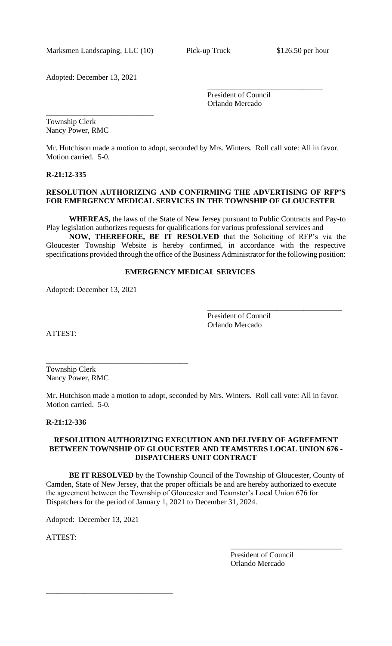Marksmen Landscaping, LLC (10) Pick-up Truck \$126.50 per hour

\_\_\_\_\_\_\_\_\_\_\_\_\_\_\_\_\_\_\_\_\_\_\_\_\_\_\_\_

Adopted: December 13, 2021

President of Council Orlando Mercado

\_\_\_\_\_\_\_\_\_\_\_\_\_\_\_\_\_\_\_\_\_\_\_\_\_\_\_\_\_\_

Township Clerk Nancy Power, RMC

Mr. Hutchison made a motion to adopt, seconded by Mrs. Winters. Roll call vote: All in favor. Motion carried. 5-0.

## **R-21:12-335**

## **RESOLUTION AUTHORIZING AND CONFIRMING THE ADVERTISING OF RFP'S FOR EMERGENCY MEDICAL SERVICES IN THE TOWNSHIP OF GLOUCESTER**

**WHEREAS,** the laws of the State of New Jersey pursuant to Public Contracts and Pay-to Play legislation authorizes requests for qualifications for various professional services and

**NOW, THEREFORE, BE IT RESOLVED** that the Soliciting of RFP's via the Gloucester Township Website is hereby confirmed, in accordance with the respective specifications provided through the office of the Business Administrator for the following position:

## **EMERGENCY MEDICAL SERVICES**

Adopted: December 13, 2021

\_\_\_\_\_\_\_\_\_\_\_\_\_\_\_\_\_\_\_\_\_\_\_\_\_\_\_\_\_\_\_\_\_\_\_\_\_

President of Council Orlando Mercado

\_\_\_\_\_\_\_\_\_\_\_\_\_\_\_\_\_\_\_\_\_\_\_\_\_\_\_\_\_\_\_\_\_\_\_

ATTEST:

Township Clerk Nancy Power, RMC

Mr. Hutchison made a motion to adopt, seconded by Mrs. Winters. Roll call vote: All in favor. Motion carried. 5-0.

#### **R-21:12-336**

## **RESOLUTION AUTHORIZING EXECUTION AND DELIVERY OF AGREEMENT BETWEEN TOWNSHIP OF GLOUCESTER AND TEAMSTERS LOCAL UNION 676 - DISPATCHERS UNIT CONTRACT**

**BE IT RESOLVED** by the Township Council of the Township of Gloucester, County of Camden, State of New Jersey, that the proper officials be and are hereby authorized to execute the agreement between the Township of Gloucester and Teamster's Local Union 676 for Dispatchers for the period of January 1, 2021 to December 31, 2024.

Adopted: December 13, 2021

\_\_\_\_\_\_\_\_\_\_\_\_\_\_\_\_\_\_\_\_\_\_\_\_\_\_\_\_\_\_\_\_\_

ATTEST:

President of Council Orlando Mercado

\_\_\_\_\_\_\_\_\_\_\_\_\_\_\_\_\_\_\_\_\_\_\_\_\_\_\_\_\_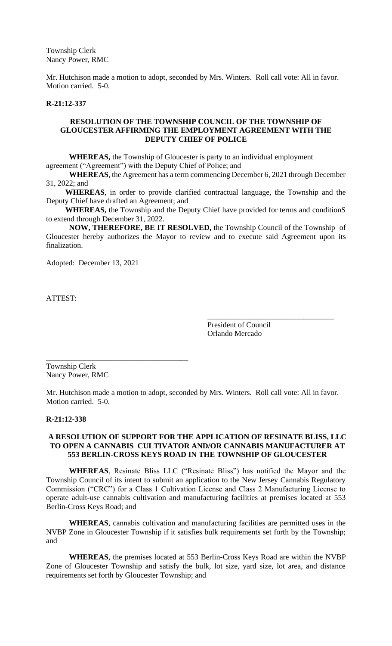Township Clerk Nancy Power, RMC

Mr. Hutchison made a motion to adopt, seconded by Mrs. Winters. Roll call vote: All in favor. Motion carried. 5-0.

#### **R-21:12-337**

## **RESOLUTION OF THE TOWNSHIP COUNCIL OF THE TOWNSHIP OF GLOUCESTER AFFIRMING THE EMPLOYMENT AGREEMENT WITH THE DEPUTY CHIEF OF POLICE**

**WHEREAS,** the Township of Gloucester is party to an individual employment agreement ("Agreement") with the Deputy Chief of Police; and

**WHEREAS**, the Agreement has a term commencing December 6, 2021 through December 31, 2022; and

 **WHEREAS**, in order to provide clarified contractual language, the Township and the Deputy Chief have drafted an Agreement; and

 **WHEREAS,** the Township and the Deputy Chief have provided for terms and conditionS to extend through December 31, 2022.

**NOW, THEREFORE, BE IT RESOLVED,** the Township Council of the Township of Gloucester hereby authorizes the Mayor to review and to execute said Agreement upon its finalization.

Adopted: December 13, 2021

ATTEST:

President of Council Orlando Mercado

\_\_\_\_\_\_\_\_\_\_\_\_\_\_\_\_\_\_\_\_\_\_\_\_\_\_\_\_\_\_\_\_\_

Township Clerk Nancy Power, RMC

\_\_\_\_\_\_\_\_\_\_\_\_\_\_\_\_\_\_\_\_\_\_\_\_\_\_\_\_\_\_\_\_\_\_\_\_\_

Mr. Hutchison made a motion to adopt, seconded by Mrs. Winters. Roll call vote: All in favor. Motion carried. 5-0.

#### **R-21:12-338**

#### **A RESOLUTION OF SUPPORT FOR THE APPLICATION OF RESINATE BLISS, LLC TO OPEN A CANNABIS CULTIVATOR AND/OR CANNABIS MANUFACTURER AT 553 BERLIN-CROSS KEYS ROAD IN THE TOWNSHIP OF GLOUCESTER**

**WHEREAS**, Resinate Bliss LLC ("Resinate Bliss") has notified the Mayor and the Township Council of its intent to submit an application to the New Jersey Cannabis Regulatory Commission ("CRC") for a Class 1 Cultivation License and Class 2 Manufacturing License to operate adult-use cannabis cultivation and manufacturing facilities at premises located at 553 Berlin-Cross Keys Road; and

**WHEREAS**, cannabis cultivation and manufacturing facilities are permitted uses in the NVBP Zone in Gloucester Township if it satisfies bulk requirements set forth by the Township; and

**WHEREAS**, the premises located at 553 Berlin-Cross Keys Road are within the NVBP Zone of Gloucester Township and satisfy the bulk, lot size, yard size, lot area, and distance requirements set forth by Gloucester Township; and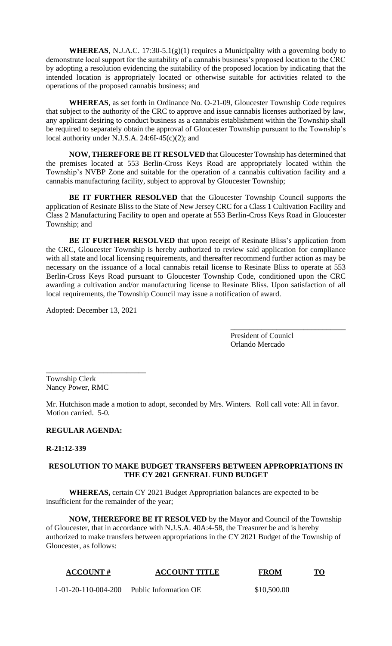**WHEREAS**, N.J.A.C. 17:30-5.1(g)(1) requires a Municipality with a governing body to demonstrate local support for the suitability of a cannabis business's proposed location to the CRC by adopting a resolution evidencing the suitability of the proposed location by indicating that the intended location is appropriately located or otherwise suitable for activities related to the operations of the proposed cannabis business; and

**WHEREAS**, as set forth in Ordinance No. O-21-09, Gloucester Township Code requires that subject to the authority of the CRC to approve and issue cannabis licenses authorized by law, any applicant desiring to conduct business as a cannabis establishment within the Township shall be required to separately obtain the approval of Gloucester Township pursuant to the Township's local authority under N.J.S.A. 24:6I-45(c)(2); and

**NOW, THEREFORE BE IT RESOLVED** that Gloucester Township has determined that the premises located at 553 Berlin-Cross Keys Road are appropriately located within the Township's NVBP Zone and suitable for the operation of a cannabis cultivation facility and a cannabis manufacturing facility, subject to approval by Gloucester Township;

**BE IT FURTHER RESOLVED** that the Gloucester Township Council supports the application of Resinate Bliss to the State of New Jersey CRC for a Class 1 Cultivation Facility and Class 2 Manufacturing Facility to open and operate at 553 Berlin-Cross Keys Road in Gloucester Township; and

**BE IT FURTHER RESOLVED** that upon receipt of Resinate Bliss's application from the CRC, Gloucester Township is hereby authorized to review said application for compliance with all state and local licensing requirements, and thereafter recommend further action as may be necessary on the issuance of a local cannabis retail license to Resinate Bliss to operate at 553 Berlin-Cross Keys Road pursuant to Gloucester Township Code, conditioned upon the CRC awarding a cultivation and/or manufacturing license to Resinate Bliss. Upon satisfaction of all local requirements, the Township Council may issue a notification of award.

Adopted: December 13, 2021

\_\_\_\_\_\_\_\_\_\_\_\_\_\_\_\_\_\_\_\_\_\_\_\_\_\_

President of Counicl Orlando Mercado

\_\_\_\_\_\_\_\_\_\_\_\_\_\_\_\_\_\_\_\_\_\_\_\_\_\_\_\_\_\_

Township Clerk Nancy Power, RMC

Mr. Hutchison made a motion to adopt, seconded by Mrs. Winters. Roll call vote: All in favor. Motion carried. 5-0.

# **REGULAR AGENDA:**

## **R-21:12-339**

## **RESOLUTION TO MAKE BUDGET TRANSFERS BETWEEN APPROPRIATIONS IN THE CY 2021 GENERAL FUND BUDGET**

**WHEREAS,** certain CY 2021 Budget Appropriation balances are expected to be insufficient for the remainder of the year;

**NOW, THEREFORE BE IT RESOLVED** by the Mayor and Council of the Township of Gloucester, that in accordance with N.J.S.A. 40A:4-58, the Treasurer be and is hereby authorized to make transfers between appropriations in the CY 2021 Budget of the Township of Gloucester, as follows:

| <b>ACCOUNT#</b> | <b>ACCOUNT TITLE</b> | FROM | тл |
|-----------------|----------------------|------|----|
|                 |                      |      |    |

1-01-20-110-004-200 Public Information OE \$10,500.00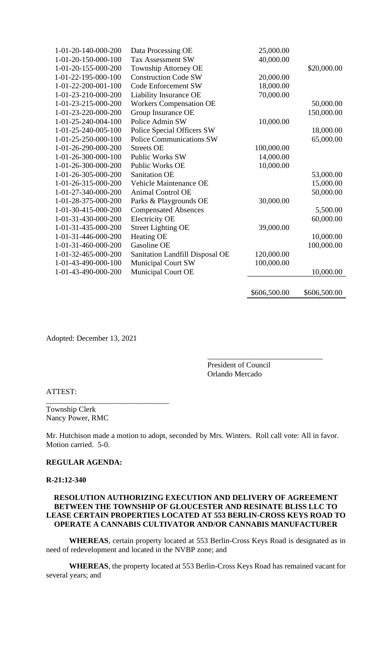| 1-01-20-140-000-200 | Data Processing OE              | 25,000.00    |              |
|---------------------|---------------------------------|--------------|--------------|
| 1-01-20-150-000-100 | <b>Tax Assessment SW</b>        | 40,000.00    |              |
| 1-01-20-155-000-200 | <b>Township Attorney OE</b>     |              | \$20,000.00  |
| 1-01-22-195-000-100 | <b>Construction Code SW</b>     | 20,000.00    |              |
| 1-01-22-200-001-100 | Code Enforcement SW             | 18,000.00    |              |
| 1-01-23-210-000-200 | Liability Insurance OE          | 70,000.00    |              |
| 1-01-23-215-000-200 | <b>Workers Compensation OE</b>  |              | 50,000.00    |
| 1-01-23-220-000-200 | Group Insurance OE              |              | 150,000.00   |
| 1-01-25-240-004-100 | Police Admin SW                 | 10,000.00    |              |
| 1-01-25-240-005-100 | Police Special Officers SW      |              | 18,000.00    |
| 1-01-25-250-000-100 | <b>Police Communications SW</b> |              | 65,000.00    |
| 1-01-26-290-000-200 | <b>Streets OE</b>               | 100,000.00   |              |
| 1-01-26-300-000-100 | <b>Public Works SW</b>          | 14,000.00    |              |
| 1-01-26-300-000-200 | Public Works OE                 | 10,000.00    |              |
| 1-01-26-305-000-200 | <b>Sanitation OE</b>            |              | 53,000.00    |
| 1-01-26-315-000-200 | Vehicle Maintenance OE          |              | 15,000.00    |
| 1-01-27-340-000-200 | <b>Animal Control OE</b>        |              | 50,000.00    |
| 1-01-28-375-000-200 | Parks & Playgrounds OE          | 30,000.00    |              |
| 1-01-30-415-000-200 | <b>Compensated Absences</b>     |              | 5,500.00     |
| 1-01-31-430-000-200 | <b>Electricity OE</b>           |              | 60,000.00    |
| 1-01-31-435-000-200 | <b>Street Lighting OE</b>       | 39,000.00    |              |
| 1-01-31-446-000-200 | Heating OE                      |              | 10,000.00    |
| 1-01-31-460-000-200 | Gasoline OE                     |              | 100,000.00   |
| 1-01-32-465-000-200 | Sanitation Landfill Disposal OE | 120,000.00   |              |
| 1-01-43-490-000-100 | <b>Municipal Court SW</b>       | 100,000.00   |              |
| 1-01-43-490-000-200 | Municipal Court OE              |              | 10,000.00    |
|                     |                                 | \$606,500.00 | \$606,500.00 |
|                     |                                 |              |              |

Adopted: December 13, 2021

\_\_\_\_\_\_\_\_\_\_\_\_\_\_\_\_\_\_\_\_\_\_\_\_\_\_\_\_\_\_\_\_

President of Council Orlando Mercado

\_\_\_\_\_\_\_\_\_\_\_\_\_\_\_\_\_\_\_\_\_\_\_\_\_\_\_\_\_\_

## ATTEST:

Township Clerk Nancy Power, RMC

Mr. Hutchison made a motion to adopt, seconded by Mrs. Winters. Roll call vote: All in favor. Motion carried. 5-0.

#### **REGULAR AGENDA:**

#### **R-21:12-340**

## **RESOLUTION AUTHORIZING EXECUTION AND DELIVERY OF AGREEMENT BETWEEN THE TOWNSHIP OF GLOUCESTER AND RESINATE BLISS LLC TO LEASE CERTAIN PROPERTIES LOCATED AT 553 BERLIN-CROSS KEYS ROAD TO OPERATE A CANNABIS CULTIVATOR AND/OR CANNABIS MANUFACTURER**

**WHEREAS**, certain property located at 553 Berlin-Cross Keys Road is designated as in need of redevelopment and located in the NVBP zone; and

**WHEREAS**, the property located at 553 Berlin-Cross Keys Road has remained vacant for several years; and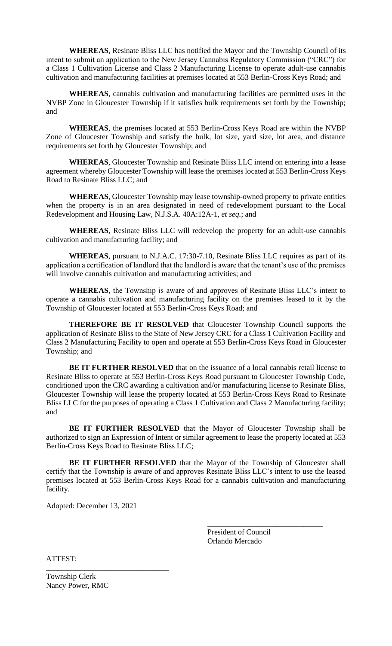**WHEREAS**, Resinate Bliss LLC has notified the Mayor and the Township Council of its intent to submit an application to the New Jersey Cannabis Regulatory Commission ("CRC") for a Class 1 Cultivation License and Class 2 Manufacturing License to operate adult-use cannabis cultivation and manufacturing facilities at premises located at 553 Berlin-Cross Keys Road; and

**WHEREAS**, cannabis cultivation and manufacturing facilities are permitted uses in the NVBP Zone in Gloucester Township if it satisfies bulk requirements set forth by the Township; and

**WHEREAS**, the premises located at 553 Berlin-Cross Keys Road are within the NVBP Zone of Gloucester Township and satisfy the bulk, lot size, yard size, lot area, and distance requirements set forth by Gloucester Township; and

**WHEREAS**, Gloucester Township and Resinate Bliss LLC intend on entering into a lease agreement whereby Gloucester Township will lease the premises located at 553 Berlin-Cross Keys Road to Resinate Bliss LLC; and

**WHEREAS**, Gloucester Township may lease township-owned property to private entities when the property is in an area designated in need of redevelopment pursuant to the Local Redevelopment and Housing Law, N.J.S.A. 40A:12A-1, *et seq.*; and

**WHEREAS**, Resinate Bliss LLC will redevelop the property for an adult-use cannabis cultivation and manufacturing facility; and

**WHEREAS**, pursuant to N.J.A.C. 17:30-7.10, Resinate Bliss LLC requires as part of its application a certification of landlord that the landlord is aware that the tenant's use of the premises will involve cannabis cultivation and manufacturing activities; and

**WHEREAS**, the Township is aware of and approves of Resinate Bliss LLC's intent to operate a cannabis cultivation and manufacturing facility on the premises leased to it by the Township of Gloucester located at 553 Berlin-Cross Keys Road; and

**THEREFORE BE IT RESOLVED** that Gloucester Township Council supports the application of Resinate Bliss to the State of New Jersey CRC for a Class 1 Cultivation Facility and Class 2 Manufacturing Facility to open and operate at 553 Berlin-Cross Keys Road in Gloucester Township; and

**BE IT FURTHER RESOLVED** that on the issuance of a local cannabis retail license to Resinate Bliss to operate at 553 Berlin-Cross Keys Road pursuant to Gloucester Township Code, conditioned upon the CRC awarding a cultivation and/or manufacturing license to Resinate Bliss, Gloucester Township will lease the property located at 553 Berlin-Cross Keys Road to Resinate Bliss LLC for the purposes of operating a Class 1 Cultivation and Class 2 Manufacturing facility; and

**BE IT FURTHER RESOLVED** that the Mayor of Gloucester Township shall be authorized to sign an Expression of Intent or similar agreement to lease the property located at 553 Berlin-Cross Keys Road to Resinate Bliss LLC;

**BE IT FURTHER RESOLVED** that the Mayor of the Township of Gloucester shall certify that the Township is aware of and approves Resinate Bliss LLC's intent to use the leased premises located at 553 Berlin-Cross Keys Road for a cannabis cultivation and manufacturing facility.

Adopted: December 13, 2021

\_\_\_\_\_\_\_\_\_\_\_\_\_\_\_\_\_\_\_\_\_\_\_\_\_\_\_\_\_\_\_\_

President of Council Orlando Mercado

\_\_\_\_\_\_\_\_\_\_\_\_\_\_\_\_\_\_\_\_\_\_\_\_\_\_\_\_\_\_

ATTEST:

Township Clerk Nancy Power, RMC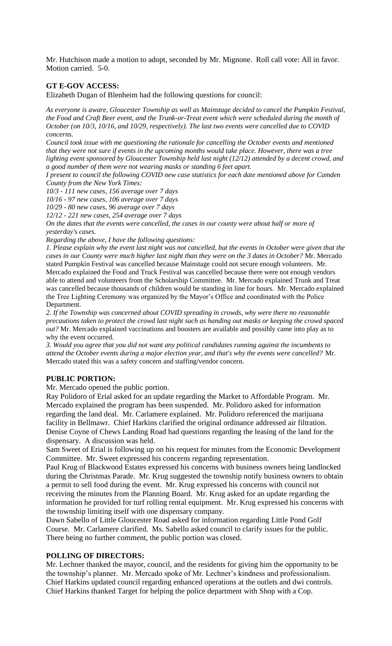Mr. Hutchison made a motion to adopt, seconded by Mr. Mignone. Roll call vote: All in favor. Motion carried. 5-0.

## **GT E-GOV ACCESS:**

Elizabeth Dugan of Blenheim had the following questions for council:

*As everyone is aware, Gloucester Township as well as Mainstage decided to cancel the Pumpkin Festival, the Food and Craft Beer event, and the Trunk-or-Treat event which were scheduled during the month of October (on 10/3, 10/16, and 10/29, respectively). The last two events were cancelled due to COVID concerns.* 

*Council took issue with me questioning the rationale for cancelling the October events and mentioned that they were not sure if events in the upcoming months would take place. However, there was a tree lighting event sponsored by Gloucester Township held last night (12/12) attended by a decent crowd, and a good number of them were not wearing masks or standing 6 feet apart.*

*I present to council the following COVID new case statistics for each date mentioned above for Camden County from the New York Times:*

*10/3 - 111 new cases, 156 average over 7 days*

*10/16 - 97 new cases, 106 average over 7 days* 

*10/29 - 80 new cases, 96 average over 7 days*

*12/12 - 221 new cases, 254 average over 7 days*

*On the dates that the events were cancelled, the cases in our county were about half or more of yesterday's cases.* 

*Regarding the above, I have the following questions:*

*1. Please explain why the event last night was not cancelled, but the events in October were given that the cases in our County were much higher last night than they were on the 3 dates in October?* Mr. Mercado stated Pumpkin Festival was cancelled because Mainstage could not secure enough volunteers. Mr. Mercado explained the Food and Truck Festival was cancelled because there were not enough vendors able to attend and volunteers from the Scholarship Committee. Mr. Mercado explained Trunk and Treat was cancelled because thousands of children would be standing in line for hours. Mr. Mercado explained the Tree Lighting Ceremony was organized by the Mayor's Office and coordinated with the Police Department.

*2. If the Township was concerned about COVID spreading in crowds, why were there no reasonable precautions taken to protect the crowd last night such as handing out masks or keeping the crowd spaced out?* Mr. Mercado explained vaccinations and boosters are available and possibly came into play as to why the event occurred.

*3. Would you agree that you did not want any political candidates running against the incumbents to attend the October events during a major election year, and that's why the events were cancelled?* Mr. Mercado stated this was a safety concern and staffing/vendor concern.

## **PUBLIC PORTION:**

Mr. Mercado opened the public portion.

Ray Polidoro of Erial asked for an update regarding the Market to Affordable Program. Mr. Mercado explained the program has been suspended. Mr. Polidoro asked for information regarding the land deal. Mr. Carlamere explained. Mr. Polidoro referenced the marijuana facility in Bellmawr. Chief Harkins clarified the original ordinance addressed air filtration. Denise Coyne of Chews Landing Road had questions regarding the leasing of the land for the dispensary. A discussion was held.

Sam Sweet of Erial is following up on his request for minutes from the Economic Development Committee. Mr. Sweet expressed his concerns regarding representation.

Paul Krug of Blackwood Estates expressed his concerns with business owners being landlocked during the Christmas Parade. Mr. Krug suggested the township notify business owners to obtain a permit to sell food during the event. Mr. Krug expressed his concerns with council not receiving the minutes from the Planning Board. Mr. Krug asked for an update regarding the information he provided for turf rolling rental equipment. Mr. Krug expressed his concerns with the township limiting itself with one dispensary company.

Dawn Sabello of Little Gloucester Road asked for information regarding Little Pond Golf Course. Mr. Carlamere clarified. Ms. Sabello asked council to clarify issues for the public. There being no further comment, the public portion was closed.

#### **POLLING OF DIRECTORS:**

Mr. Lechner thanked the mayor, council, and the residents for giving him the opportunity to be the township's planner. Mr. Mercado spoke of Mr. Lechner's kindness and professionalism. Chief Harkins updated council regarding enhanced operations at the outlets and dwi controls. Chief Harkins thanked Target for helping the police department with Shop with a Cop.